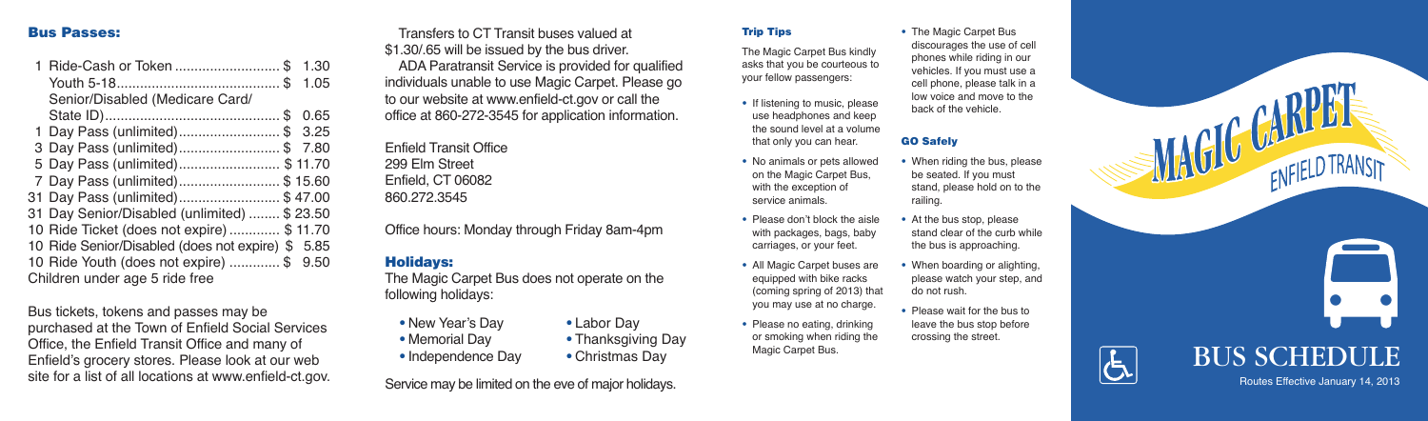## **Tr i p T i p s**

The Magic Carpet Bus kindly asks that you be courteous to your fellow passengers:

- If listening to music, please use headphones and keep the sound level at a volume that only you can hear.
- No animals or pets allowed on the Magic Carpet Bus, with the exception of service animals.
- Please don't block the aisle with packages, bags, baby carriages, or your feet.
- All Magic Carpet buses are equipped with bike racks (coming spring of 2013) that you may use at no charge.
- Please no eating, drinking or smoking when riding the Magic Carpet Bus.

• The Magic Carpet Bus discourages the use of cell phones while riding in our vehicles. If you must use a cell phone, please talk in a low voice and move to the back of the vehicle.

## **GO Safely**

- When riding the bus, please be seated. If you must stand, please hold on to the railing.
- At the bus stop, please stand clear of the curb while the bus is approaching.
- When boarding or alighting, please watch your step, and do not rush.
- Please wait for the bus to leave the bus stop before crossing the street.

Transfers to CT Transit buses valued at \$ 1 . 3 0 / . 6 5 w i l l b e i s s u e d b y t h e b u s d r i v e r .

ADA Paratransit Service is provided for qualified individuals unable to use Magic Carpet. Please go to our website at www.enfield-ct.gov or call the office at 860-272-3545 for application information.

Enfield Transit Office 299 Elm Street Enfield, CT 06082 8 6 0 . 2 7 2 . 3 5 4 5

Office hours: Monday through Friday 8am-4pm

## **H o l i d a y s :**

The Magic Carpet Bus does not operate on the following holidays:

- New Year's Day
- Memorial Day
- Independence Day

Service may be limited on the eve of major holidays.

• Labor Day

• Thanksgiving Day • Christmas Day

## **Bus Passes:**

| 1 Ride-Cash or Token\$                            | 1.30       |
|---------------------------------------------------|------------|
|                                                   | 1.05       |
| Senior/Disabled (Medicare Card/                   |            |
|                                                   | \$<br>0.65 |
| 1 Day Pass (unlimited)\$ 3.25                     |            |
| 3 Day Pass (unlimited)                            | \$7.80     |
| 5 Day Pass (unlimited)                            | \$11.70    |
| 7 Day Pass (unlimited)\$ 15.60                    |            |
| 31 Day Pass (unlimited)\$47.00                    |            |
| 31 Day Senior/Disabled (unlimited)  \$23.50       |            |
| 10 Ride Ticket (does not expire)  \$11.70         |            |
| 10 Ride Senior/Disabled (does not expire) \$ 5.85 |            |
| 10 Ride Youth (does not expire) \$ 9.50           |            |
| Children under age 5 ride free                    |            |

Bus tickets, tokens and passes may be purchased at the Town of Enfield Social Services Office, the Enfield Transit Office and many of Enfield's grocery stores. Please look at our web site for a list of all locations at www.enfield-ct.gov.



Routes Effective January 14, 2013